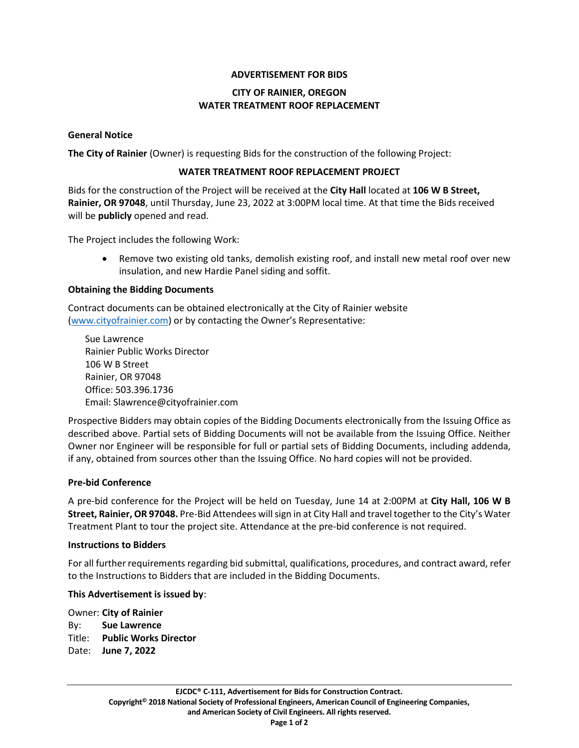# **ADVERTISEMENT FOR BIDS**

# **CITY OF RAINIER, OREGON WATER TREATMENT ROOF REPLACEMENT**

### **General Notice**

**The City of Rainier** (Owner) is requesting Bids for the construction of the following Project:

### **WATER TREATMENT ROOF REPLACEMENT PROJECT**

Bids for the construction of the Project will be received at the **City Hall** located at **106 W B Street, Rainier, OR 97048**, until Thursday, June 23, 2022 at 3:00PM local time. At that time the Bids received will be **publicly** opened and read.

The Project includes the following Work:

• Remove two existing old tanks, demolish existing roof, and install new metal roof over new insulation, and new Hardie Panel siding and soffit.

# **Obtaining the Bidding Documents**

Contract documents can be obtained electronically at the City of Rainier website [\(www.cityofrainier.com](http://www.cityofrainier.com/)) or by contacting the Owner's Representative:

Sue Lawrence Rainier Public Works Director 106 W B Street Rainier, OR 97048 Office: 503.396.1736 Email: Slawrence@cityofrainier.com

Prospective Bidders may obtain copies of the Bidding Documents electronically from the Issuing Office as described above. Partial sets of Bidding Documents will not be available from the Issuing Office. Neither Owner nor Engineer will be responsible for full or partial sets of Bidding Documents, including addenda, if any, obtained from sources other than the Issuing Office. No hard copies will not be provided.

### **Pre-bid Conference**

A pre-bid conference for the Project will be held on Tuesday, June 14 at 2:00PM at **City Hall, 106 W B Street, Rainier, OR 97048.** Pre-Bid Attendees will sign in at City Hall and travel together to the City's Water Treatment Plant to tour the project site. Attendance at the pre-bid conference is not required.

### **Instructions to Bidders**

For all further requirements regarding bid submittal, qualifications, procedures, and contract award, refer to the Instructions to Bidders that are included in the Bidding Documents.

### **This Advertisement is issued by**:

Owner: **City of Rainier** By: **Sue Lawrence** Title: **Public Works Director** Date: **June 7, 2022**